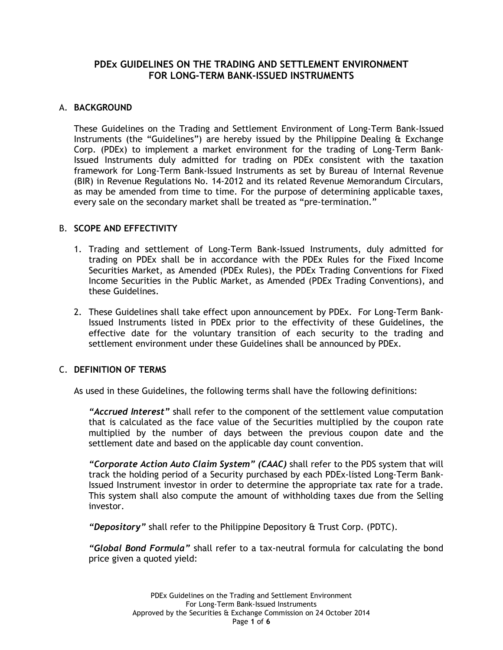# **PDEx GUIDELINES ON THE TRADING AND SETTLEMENT ENVIRONMENT FOR LONG-TERM BANK-ISSUED INSTRUMENTS**

## A. **BACKGROUND**

These Guidelines on the Trading and Settlement Environment of Long-Term Bank-Issued Instruments (the "Guidelines") are hereby issued by the Philippine Dealing & Exchange Corp. (PDEx) to implement a market environment for the trading of Long-Term Bank-Issued Instruments duly admitted for trading on PDEx consistent with the taxation framework for Long-Term Bank-Issued Instruments as set by Bureau of Internal Revenue (BIR) in Revenue Regulations No. 14-2012 and its related Revenue Memorandum Circulars, as may be amended from time to time. For the purpose of determining applicable taxes, every sale on the secondary market shall be treated as "pre-termination."

## B. **SCOPE AND EFFECTIVITY**

- 1. Trading and settlement of Long-Term Bank-Issued Instruments, duly admitted for trading on PDEx shall be in accordance with the PDEx Rules for the Fixed Income Securities Market, as Amended (PDEx Rules), the PDEx Trading Conventions for Fixed Income Securities in the Public Market, as Amended (PDEx Trading Conventions), and these Guidelines.
- 2. These Guidelines shall take effect upon announcement by PDEx. For Long-Term Bank-Issued Instruments listed in PDEx prior to the effectivity of these Guidelines, the effective date for the voluntary transition of each security to the trading and settlement environment under these Guidelines shall be announced by PDEx.

# C. **DEFINITION OF TERMS**

As used in these Guidelines, the following terms shall have the following definitions:

*"Accrued Interest"* shall refer to the component of the settlement value computation that is calculated as the face value of the Securities multiplied by the coupon rate multiplied by the number of days between the previous coupon date and the settlement date and based on the applicable day count convention.

*"Corporate Action Auto Claim System" (CAAC)* shall refer to the PDS system that will track the holding period of a Security purchased by each PDEx-listed Long-Term Bank-Issued Instrument investor in order to determine the appropriate tax rate for a trade. This system shall also compute the amount of withholding taxes due from the Selling investor.

*"Depository"* shall refer to the Philippine Depository & Trust Corp. (PDTC).

*"Global Bond Formula"* shall refer to a tax-neutral formula for calculating the bond price given a quoted yield: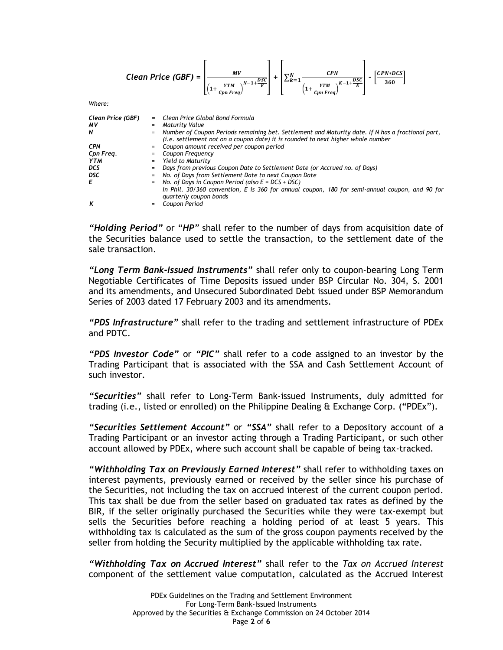| Clean Price (GBF) = $\frac{MV}{\left(1+\frac{YTM}{Cm\ Freq}\right)^{N-1+\frac{DSC}{E}}}\ + \left[\sum_{k=1}^{N} \frac{CPN}{\left(1+\frac{YTM}{Cm\ Freq}\right)^{K-1+\frac{DSC}{E}}}\right] - \left[\frac{CPN*DCS}{360}\right]$ |          |                                                                                                                                                                                         |
|--------------------------------------------------------------------------------------------------------------------------------------------------------------------------------------------------------------------------------|----------|-----------------------------------------------------------------------------------------------------------------------------------------------------------------------------------------|
| Where:                                                                                                                                                                                                                         |          |                                                                                                                                                                                         |
| Clean Price (GBF)                                                                                                                                                                                                              |          | = Clean Price Global Bond Formula                                                                                                                                                       |
| MV                                                                                                                                                                                                                             |          | = Maturity Value                                                                                                                                                                        |
| N                                                                                                                                                                                                                              |          |                                                                                                                                                                                         |
|                                                                                                                                                                                                                                |          | = Number of Coupon Periods remaining bet. Settlement and Maturity date. If N has a fractional part,<br>(i.e. settlement not on a coupon date) it is rounded to next higher whole number |
| <b>CPN</b>                                                                                                                                                                                                                     |          | = Coupon amount received per coupon period                                                                                                                                              |
| Cpn Freq.                                                                                                                                                                                                                      |          | = Coupon Frequency                                                                                                                                                                      |
| YTM                                                                                                                                                                                                                            |          | = Yield to Maturity                                                                                                                                                                     |
| <b>DCS</b>                                                                                                                                                                                                                     |          | = Days from previous Coupon Date to Settlement Date (or Accrued no. of Days)                                                                                                            |
| DSC                                                                                                                                                                                                                            | $\equiv$ | No. of Days from Settlement Date to next Coupon Date                                                                                                                                    |
| E                                                                                                                                                                                                                              |          | $=$ No. of Days in Coupon Period (also $E = DCS + DSC$ )                                                                                                                                |
|                                                                                                                                                                                                                                |          | In Phil. 30/360 convention, E is 360 for annual coupon, 180 for semi-annual coupon, and 90 for<br>quarterly coupon bonds                                                                |
| K                                                                                                                                                                                                                              |          | Coupon Period                                                                                                                                                                           |

*"Holding Period"* or "*HP"* shall refer to the number of days from acquisition date of the Securities balance used to settle the transaction, to the settlement date of the sale transaction.

*"Long Term Bank-Issued Instruments"* shall refer only to coupon-bearing Long Term Negotiable Certificates of Time Deposits issued under BSP Circular No. 304, S. 2001 and its amendments, and Unsecured Subordinated Debt issued under BSP Memorandum Series of 2003 dated 17 February 2003 and its amendments.

*"PDS Infrastructure"* shall refer to the trading and settlement infrastructure of PDEx and PDTC.

*"PDS Investor Code"* or *"PIC"* shall refer to a code assigned to an investor by the Trading Participant that is associated with the SSA and Cash Settlement Account of such investor.

*"Securities"* shall refer to Long-Term Bank-issued Instruments, duly admitted for trading (i.e., listed or enrolled) on the Philippine Dealing & Exchange Corp. ("PDEx").

*"Securities Settlement Account"* or *"SSA"* shall refer to a Depository account of a Trading Participant or an investor acting through a Trading Participant, or such other account allowed by PDEx, where such account shall be capable of being tax-tracked.

*"Withholding Tax on Previously Earned Interest"* shall refer to withholding taxes on interest payments, previously earned or received by the seller since his purchase of the Securities, not including the tax on accrued interest of the current coupon period. This tax shall be due from the seller based on graduated tax rates as defined by the BIR, if the seller originally purchased the Securities while they were tax-exempt but sells the Securities before reaching a holding period of at least 5 years. This withholding tax is calculated as the sum of the gross coupon payments received by the seller from holding the Security multiplied by the applicable withholding tax rate.

*"Withholding Tax on Accrued Interest"* shall refer to the *Tax on Accrued Interest* component of the settlement value computation, calculated as the Accrued Interest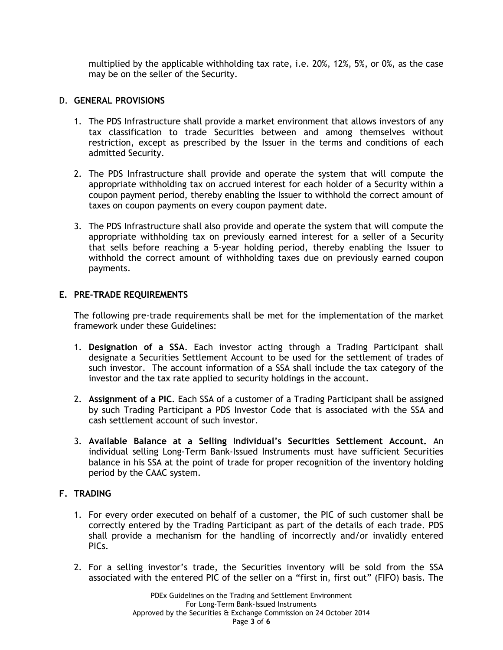multiplied by the applicable withholding tax rate, i.e. 20%, 12%, 5%, or 0%, as the case may be on the seller of the Security.

## D. **GENERAL PROVISIONS**

- 1. The PDS Infrastructure shall provide a market environment that allows investors of any tax classification to trade Securities between and among themselves without restriction, except as prescribed by the Issuer in the terms and conditions of each admitted Security.
- 2. The PDS Infrastructure shall provide and operate the system that will compute the appropriate withholding tax on accrued interest for each holder of a Security within a coupon payment period, thereby enabling the Issuer to withhold the correct amount of taxes on coupon payments on every coupon payment date.
- 3. The PDS Infrastructure shall also provide and operate the system that will compute the appropriate withholding tax on previously earned interest for a seller of a Security that sells before reaching a 5-year holding period, thereby enabling the Issuer to withhold the correct amount of withholding taxes due on previously earned coupon payments.

### **E. PRE-TRADE REQUIREMENTS**

The following pre-trade requirements shall be met for the implementation of the market framework under these Guidelines:

- 1. **Designation of a SSA**. Each investor acting through a Trading Participant shall designate a Securities Settlement Account to be used for the settlement of trades of such investor. The account information of a SSA shall include the tax category of the investor and the tax rate applied to security holdings in the account.
- 2. **Assignment of a PIC**. Each SSA of a customer of a Trading Participant shall be assigned by such Trading Participant a PDS Investor Code that is associated with the SSA and cash settlement account of such investor.
- 3. **Available Balance at a Selling Individual's Securities Settlement Account.** An individual selling Long-Term Bank-Issued Instruments must have sufficient Securities balance in his SSA at the point of trade for proper recognition of the inventory holding period by the CAAC system.

## **F. TRADING**

- 1. For every order executed on behalf of a customer, the PIC of such customer shall be correctly entered by the Trading Participant as part of the details of each trade. PDS shall provide a mechanism for the handling of incorrectly and/or invalidly entered PICs.
- 2. For a selling investor's trade, the Securities inventory will be sold from the SSA associated with the entered PIC of the seller on a "first in, first out" (FIFO) basis. The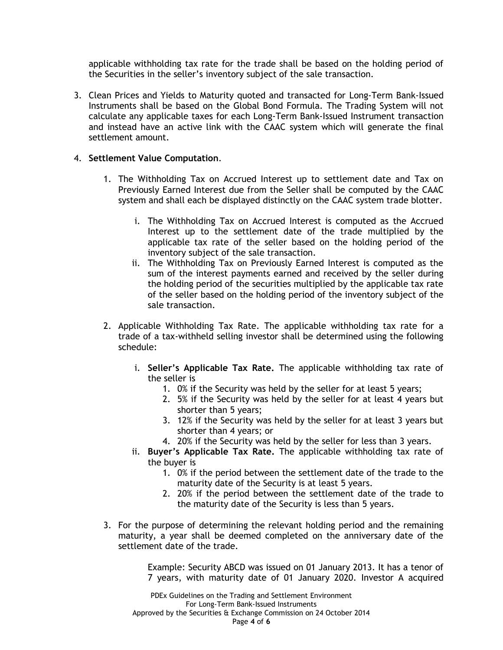applicable withholding tax rate for the trade shall be based on the holding period of the Securities in the seller's inventory subject of the sale transaction.

3. Clean Prices and Yields to Maturity quoted and transacted for Long-Term Bank-Issued Instruments shall be based on the Global Bond Formula. The Trading System will not calculate any applicable taxes for each Long-Term Bank-Issued Instrument transaction and instead have an active link with the CAAC system which will generate the final settlement amount.

### 4. **Settlement Value Computation**.

- 1. The Withholding Tax on Accrued Interest up to settlement date and Tax on Previously Earned Interest due from the Seller shall be computed by the CAAC system and shall each be displayed distinctly on the CAAC system trade blotter.
	- i. The Withholding Tax on Accrued Interest is computed as the Accrued Interest up to the settlement date of the trade multiplied by the applicable tax rate of the seller based on the holding period of the inventory subject of the sale transaction.
	- ii. The Withholding Tax on Previously Earned Interest is computed as the sum of the interest payments earned and received by the seller during the holding period of the securities multiplied by the applicable tax rate of the seller based on the holding period of the inventory subject of the sale transaction.
- 2. Applicable Withholding Tax Rate. The applicable withholding tax rate for a trade of a tax-withheld selling investor shall be determined using the following schedule:
	- i. **Seller's Applicable Tax Rate.** The applicable withholding tax rate of the seller is
		- 1. 0% if the Security was held by the seller for at least 5 years;
		- 2. 5% if the Security was held by the seller for at least 4 years but shorter than 5 years;
		- 3. 12% if the Security was held by the seller for at least 3 years but shorter than 4 years; or
		- 4. 20% if the Security was held by the seller for less than 3 years.
	- ii. **Buyer's Applicable Tax Rate.** The applicable withholding tax rate of the buyer is
		- 1. 0% if the period between the settlement date of the trade to the maturity date of the Security is at least 5 years.
		- 2. 20% if the period between the settlement date of the trade to the maturity date of the Security is less than 5 years.
- 3. For the purpose of determining the relevant holding period and the remaining maturity, a year shall be deemed completed on the anniversary date of the settlement date of the trade.

Example: Security ABCD was issued on 01 January 2013. It has a tenor of 7 years, with maturity date of 01 January 2020. Investor A acquired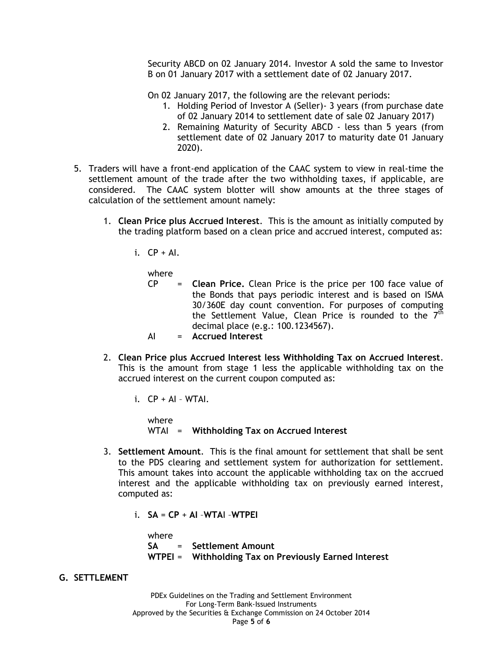Security ABCD on 02 January 2014. Investor A sold the same to Investor B on 01 January 2017 with a settlement date of 02 January 2017.

On 02 January 2017, the following are the relevant periods:

- 1. Holding Period of Investor A (Seller)- 3 years (from purchase date of 02 January 2014 to settlement date of sale 02 January 2017)
- 2. Remaining Maturity of Security ABCD less than 5 years (from settlement date of 02 January 2017 to maturity date 01 January 2020).
- 5. Traders will have a front-end application of the CAAC system to view in real-time the settlement amount of the trade after the two withholding taxes, if applicable, are considered. The CAAC system blotter will show amounts at the three stages of calculation of the settlement amount namely:
	- 1. **Clean Price plus Accrued Interest**. This is the amount as initially computed by the trading platform based on a clean price and accrued interest, computed as:
		- $i.$  CP + Al.

where

- CP = **Clean Price.** Clean Price is the price per 100 face value of the Bonds that pays periodic interest and is based on ISMA 30/360E day count convention. For purposes of computing the Settlement Value, Clean Price is rounded to the  $7<sup>th</sup>$ decimal place (e.g.: 100.1234567).
- AI = **Accrued Interest**
- 2. **Clean Price plus Accrued Interest less Withholding Tax on Accrued Interest**. This is the amount from stage 1 less the applicable withholding tax on the accrued interest on the current coupon computed as:
	- i.  $CP + AI WTAI$ .

where WTAI = **Withholding Tax on Accrued Interest**

- 3. **Settlement Amount**. This is the final amount for settlement that shall be sent to the PDS clearing and settlement system for authorization for settlement. This amount takes into account the applicable withholding tax on the accrued interest and the applicable withholding tax on previously earned interest, computed as:
	- i. **SA** = **CP** + **AI** –**WTA**I –**WTPEI**

where **SA** = **Settlement Amount WTPEI** = **Withholding Tax on Previously Earned Interest**

**G. SETTLEMENT**